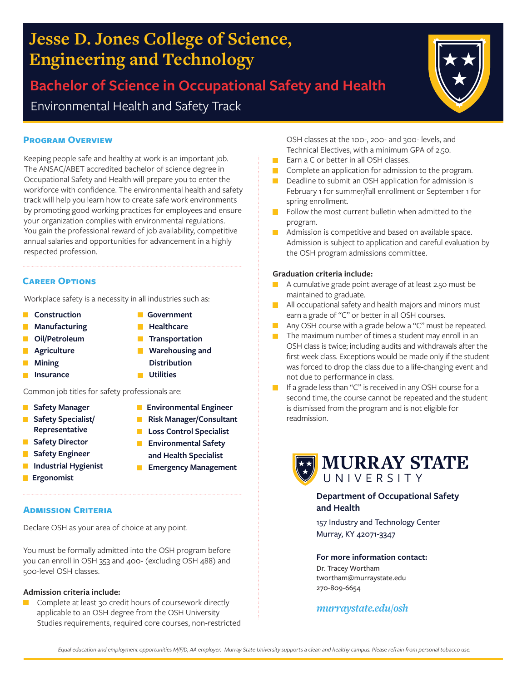#### *Equal education and employment opportunities M/F/D, AA employer. Murray State University supports a clean and healthy campus. Please refrain from personal tobacco use.*

# **Jesse D. Jones College of Science, Engineering and Technology**

**Bachelor of Science in Occupational Safety and Health** Environmental Health and Safety Track

#### **Program Overview**

Keeping people safe and healthy at work is an important job. The ANSAC/ABET accredited bachelor of science degree in Occupational Safety and Health will prepare you to enter the workforce with confidence. The environmental health and safety track will help you learn how to create safe work environments by promoting good working practices for employees and ensure your organization complies with environmental regulations. You gain the professional reward of job availability, competitive annual salaries and opportunities for advancement in a highly respected profession.

#### **Career Options**

Workplace safety is a necessity in all industries such as:

- **Construction**
- **Manufacturing**
- $\mathcal{L}_{\mathcal{A}}$ **Oil/Petroleum**
- **Agriculture**  $\Box$
- П **Mining**
- **Insurance**
- Common job titles for safety professionals are: **Environmental Engineer**

**Risk Manager/Consultant Loss Control Specialist Environmental Safety and Health Specialist**

**Government Healthcare Transportation Warehousing and Distribution**

**Utilities**

- **Safety Manager**  $\Box$
- **Safety Specialist/ Representative**
- **Safety Director**  $\mathcal{L}_{\mathcal{A}}$
- **Safety Engineer**
- $\Box$ **Industrial Hygienist Ergonomist**  $\blacksquare$ 
	- **Emergency Management**
- 

**Admission Criteria**

Declare OSH as your area of choice at any point.

You must be formally admitted into the OSH program before you can enroll in OSH 353 and 400- (excluding OSH 488) and 500-level OSH classes.

#### **Admission criteria include:**

Complete at least 30 credit hours of coursework directly п applicable to an OSH degree from the OSH University Studies requirements, required core courses, non-restricted OSH classes at the 100-, 200- and 300- levels, and Technical Electives, with a minimum GPA of 2.50.

- **E** Earn a C or better in all OSH classes.
- **Complete an application for admission to the program.**
- Deadline to submit an OSH application for admission is February 1 for summer/fall enrollment or September 1 for spring enrollment.
- Follow the most current bulletin when admitted to the program.
- **Admission is competitive and based on available space.** Admission is subject to application and careful evaluation by the OSH program admissions committee.

#### **Graduation criteria include:**

- A cumulative grade point average of at least 2.50 must be maintained to graduate.
- **All occupational safety and health majors and minors must** earn a grade of "C" or better in all OSH courses.
- Any OSH course with a grade below a "C" must be repeated.
- $\blacksquare$  The maximum number of times a student may enroll in an OSH class is twice; including audits and withdrawals after the first week class. Exceptions would be made only if the student was forced to drop the class due to a life-changing event and not due to performance in class.
- **If a grade less than "C" is received in any OSH course for a** second time, the course cannot be repeated and the student is dismissed from the program and is not eligible for readmission.

## **For more information contact:**

157 Industry and Technology Center

Dr. Tracey Wortham twortham@murraystate.edu 270-809-6654

### *murraystate.edu/osh*





Murray, KY 42071-3347

**and Health**